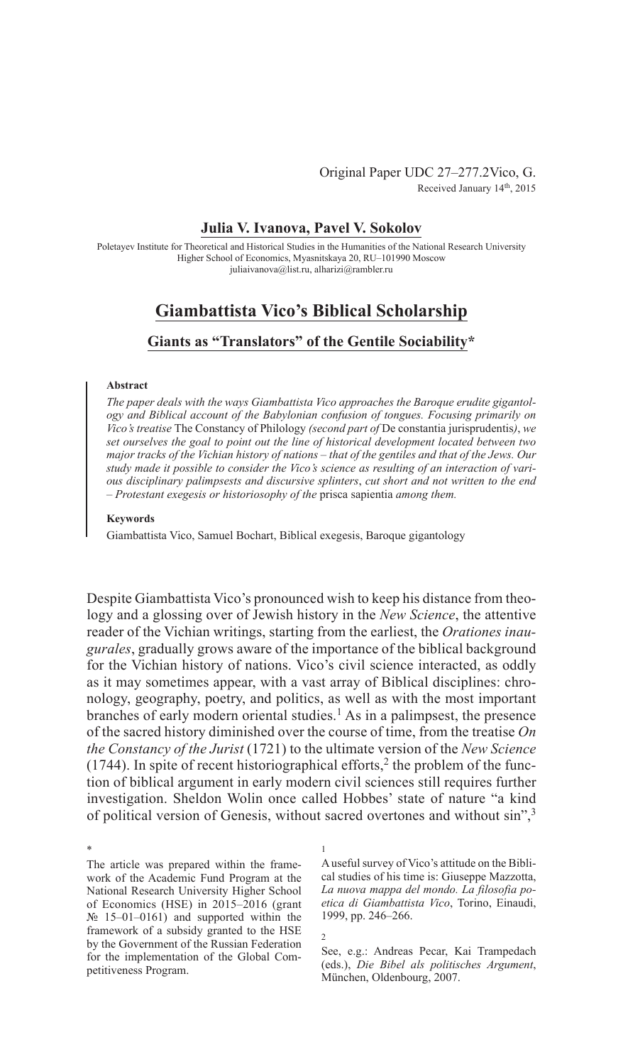Original Paper UDC 27–277.2Vico, G. Received January 14th, 2015

# **Julia V. Ivanova, Pavel V. Sokolov**

Poletayev Institute for Theoretical and Historical Studies in the Humanities of the National Research University Higher School of Economics, Myasnitskaya 20, RU–101990 Moscow juliaivanova@list.ru, alharizi@rambler.ru

# **Giambattista Vico's Biblical Scholarship**

# **Giants as "Translators" of the Gentile Sociability\***

#### **Abstract**

*The paper deals with the ways Giambattista Vico approaches the Baroque erudite gigantology and Biblical account of the Babylonian confusion of tongues. Focusing primarily on Vico's treatise* The Constancy of Philology *(second part of* De constantia jurisprudentis*)*, *we set ourselves the goal to point out the line of historical development located between two major tracks of the Vichian history of nations – that of the gentiles and that of the Jews. Our study made it possible to consider the Vico's science as resulting of an interaction of various disciplinary palimpsests and discursive splinters*, *cut short and not written to the end – Protestant exegesis or historiosophy of the* prisca sapientia *among them.*

## **Keywords**

Giambattista Vico, Samuel Bochart, Biblical exegesis, Baroque gigantology

Despite Giambattista Vico's pronounced wish to keep his distance from theology and a glossing over of Jewish history in the *New Science*, the attentive reader of the Vichian writings, starting from the earliest, the *Orationes inaugurales*, gradually grows aware of the importance of the biblical background for the Vichian history of nations. Vico's civil science interacted, as oddly as it may sometimes appear, with a vast array of Biblical disciplines: chronology, geography, poetry, and politics, as well as with the most important branches of early modern oriental studies.<sup>1</sup> As in a palimpsest, the presence of the sacred history diminished over the course of time, from the treatise *On the Constancy of the Jurist* (1721) to the ultimate version of the *New Science*  $(1744)$ . In spite of recent historiographical efforts,<sup>2</sup> the problem of the function of biblical argument in early modern civil sciences still requires further investigation. Sheldon Wolin once called Hobbes' state of nature "a kind of political version of Genesis, without sacred overtones and without sin",<sup>3</sup>

\* The article was prepared within the framework of the Academic Fund Program at the National Research University Higher School of Economics (HSE) in 2015–2016 (grant  $N<sub>2</sub>$  15–01–0161) and supported within the framework of a subsidy granted to the HSE by the Government of the Russian Federation for the implementation of the Global Competitiveness Program.

2

1

A useful survey of Vico's attitude on the Biblical studies of his time is: Giuseppe Mazzotta, *La nuova mappa del mondo. La filosofia poetica di Giambattista Vico*, Torino, Einaudi, 1999, pp. 246–266.

See, e.g.: Andreas Pecar, Kai Trampedach (eds.), *Die Bibel als politisches Argument*, München, Oldenbourg, 2007.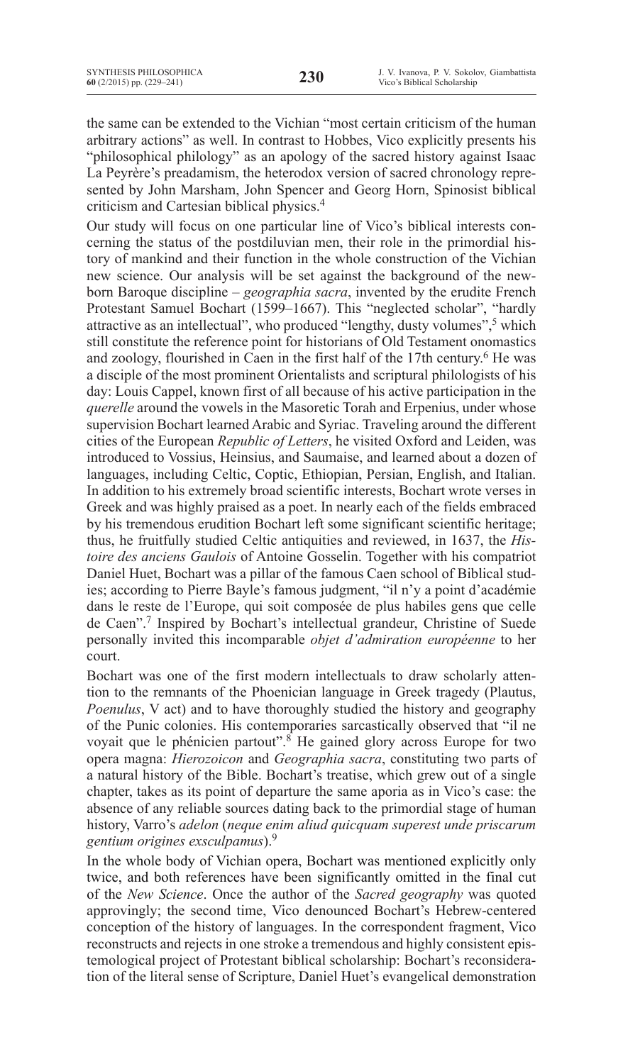the same can be extended to the Vichian "most certain criticism of the human arbitrary actions" as well. In contrast to Hobbes, Vico explicitly presents his

"philosophical philology" as an apology of the sacred history against Isaac La Peyrère's preadamism, the heterodox version of sacred chronology represented by John Marsham, John Spencer and Georg Horn, Spinosist biblical criticism and Cartesian biblical physics.4

Our study will focus on one particular line of Vico's biblical interests concerning the status of the postdiluvian men, their role in the primordial history of mankind and their function in the whole construction of the Vichian new science. Our analysis will be set against the background of the newborn Baroque discipline – *geographia sacra*, invented by the erudite French Protestant Samuel Bochart (1599–1667). This "neglected scholar", "hardly attractive as an intellectual", who produced "lengthy, dusty volumes",<sup>5</sup> which still constitute the reference point for historians of Old Testament onomastics and zoology, flourished in Caen in the first half of the 17th century.<sup>6</sup> He was a disciple of the most prominent Orientalists and scriptural philologists of his day: Louis Cappel, known first of all because of his active participation in the *querelle* around the vowels in the Masoretic Torah and Erpenius, under whose supervision Bochart learned Arabic and Syriac. Traveling around the different cities of the European *Republic of Letters*, he visited Oxford and Leiden, was introduced to Vossius, Heinsius, and Saumaise, and learned about a dozen of languages, including Celtic, Coptic, Ethiopian, Persian, English, and Italian. In addition to his extremely broad scientific interests, Bochart wrote verses in Greek and was highly praised as a poet. In nearly each of the fields embraced by his tremendous erudition Bochart left some significant scientific heritage; thus, he fruitfully studied Celtic antiquities and reviewed, in 1637, the *Histoire des anciens Gaulois* of Antoine Gosselin. Together with his compatriot Daniel Huet, Bochart was a pillar of the famous Caen school of Biblical studies; according to Pierre Bayle's famous judgment, "il n'y a point d'académie dans le reste de l'Europe, qui soit composée de plus habiles gens que celle de Caen".7 Inspired by Bochart's intellectual grandeur, Christine of Suede personally invited this incomparable *objet d'admiration européenne* to her court.

Bochart was one of the first modern intellectuals to draw scholarly attention to the remnants of the Phoenician language in Greek tragedy (Plautus, *Poenulus*, V act) and to have thoroughly studied the history and geography of the Punic colonies. His contemporaries sarcastically observed that "il ne voyait que le phénicien partout".<sup>8</sup> He gained glory across Europe for two opera magna: *Hierozoicon* and *Geographia sacra*, constituting two parts of a natural history of the Bible. Bochart's treatise, which grew out of a single chapter, takes as its point of departure the same aporia as in Vico's case: the absence of any reliable sources dating back to the primordial stage of human history, Varro's *adelon* (*neque enim aliud quicquam superest unde priscarum gentium origines exsculpamus*).9

In the whole body of Vichian opera, Bochart was mentioned explicitly only twice, and both references have been significantly omitted in the final cut of the *New Science*. Once the author of the *Sacred geography* was quoted approvingly; the second time, Vico denounced Bochart's Hebrew-centered conception of the history of languages. In the correspondent fragment, Vico reconstructs and rejects in one stroke a tremendous and highly consistent epistemological project of Protestant biblical scholarship: Bochart's reconsideration of the literal sense of Scripture, Daniel Huet's evangelical demonstration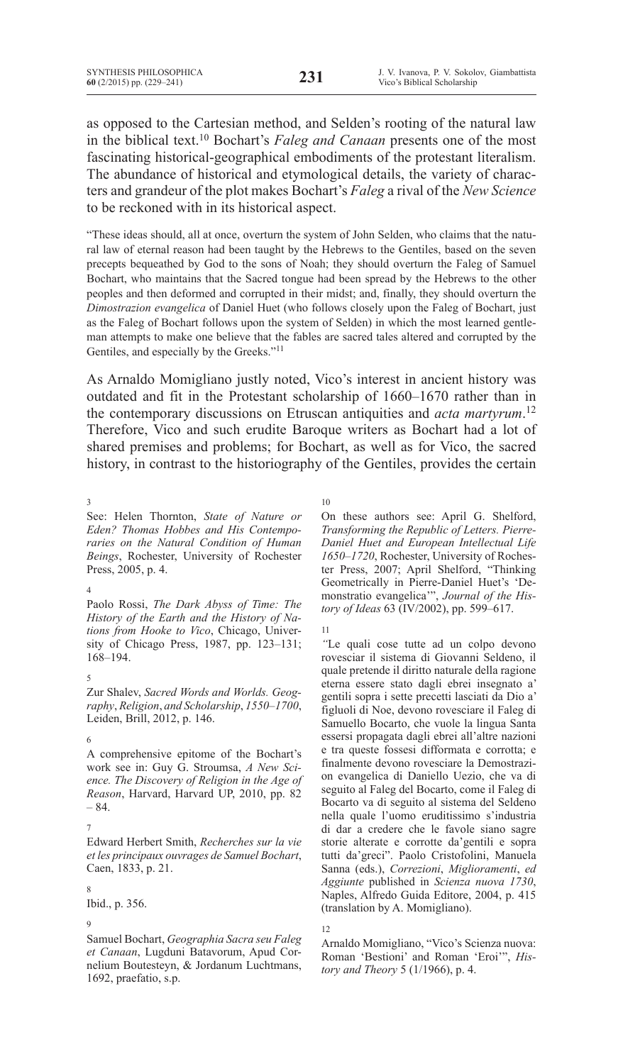as opposed to the Cartesian method, and Selden's rooting of the natural law in the biblical text.10 Bochart's *Faleg and Canaan* presents one of the most fascinating historical-geographical embodiments of the protestant literalism. The abundance of historical and etymological details, the variety of characters and grandeur of the plot makes Bochart's *Faleg* a rival of the *New Science*  to be reckoned with in its historical aspect.

"These ideas should, all at once, overturn the system of John Selden, who claims that the natural law of eternal reason had been taught by the Hebrews to the Gentiles, based on the seven precepts bequeathed by God to the sons of Noah; they should overturn the Faleg of Samuel Bochart, who maintains that the Sacred tongue had been spread by the Hebrews to the other peoples and then deformed and corrupted in their midst; and, finally, they should overturn the *Dimostrazion evangelica* of Daniel Huet (who follows closely upon the Faleg of Bochart, just as the Faleg of Bochart follows upon the system of Selden) in which the most learned gentleman attempts to make one believe that the fables are sacred tales altered and corrupted by the Gentiles, and especially by the Greeks."<sup>11</sup>

As Arnaldo Momigliano justly noted, Vico's interest in ancient history was outdated and fit in the Protestant scholarship of 1660–1670 rather than in the contemporary discussions on Etruscan antiquities and *acta martyrum*. 12 Therefore, Vico and such erudite Baroque writers as Bochart had a lot of shared premises and problems; for Bochart, as well as for Vico, the sacred history, in contrast to the historiography of the Gentiles, provides the certain

3

See: Helen Thornton, *State of Nature or Eden? Thomas Hobbes and His Contemporaries on the Natural Condition of Human Beings*, Rochester, University of Rochester Press, 2005, p. 4.

4

Paolo Rossi, *The Dark Abyss of Time: The History of the Earth and the History of Nations from Hooke to Vico*, Chicago, University of Chicago Press, 1987, pp. 123–131; 168–194.

## 5

Zur Shalev, *Sacred Words and Worlds. Geography*, *Religion*, *and Scholarship*, *1550–1700*, Leiden, Brill, 2012, p. 146.

6

A comprehensive epitome of the Bochart's work see in: Guy G. Stroumsa, *A New Science. The Discovery of Religion in the Age of Reason*, Harvard, Harvard UP, 2010, pp. 82 – 84.

## 7

Edward Herbert Smith, *Recherches sur la vie et les principaux ouvrages de Samuel Bochart*, Caen, 1833, p. 21.

# 8

Ibid., p. 356.

#### 9

Samuel Bochart, *Geographia Sacra seu Faleg et Canaan*, Lugduni Batavorum, Apud Cornelium Boutesteyn, & Jordanum Luchtmans, 1692, praefatio, s.p.

10

On these authors see: April G. Shelford, *Transforming the Republic of Letters. Pierre-Daniel Huet and European Intellectual Life 1650–1720*, Rochester, University of Rochester Press, 2007; April Shelford, "Thinking Geometrically in Pierre-Daniel Huet's 'Demonstratio evangelica'", *Journal of the History of Ideas* 63 (IV/2002), pp. 599–617.

11

*"*Le quali cose tutte ad un colpo devono rovesciar il sistema di Giovanni Seldeno, il quale pretende il diritto naturale della ragione eterna essere stato dagli ebrei insegnato a' gentili sopra i sette precetti lasciati da Dio a' figluoli di Noe, devono rovesciare il Faleg di Samuello Bocarto, che vuole la lingua Santa essersi propagata dagli ebrei all'altre nazioni e tra queste fossesi difformata e corrotta; e finalmente devono rovesciare la Demostrazion evangelica di Daniello Uezio, che va di seguito al Faleg del Bocarto, come il Faleg di Bocarto va di seguito al sistema del Seldeno nella quale l'uomo eruditissimo s'industria di dar a credere che le favole siano sagre storie alterate e corrotte da'gentili e sopra tutti da'greci". Paolo Cristofolini, Manuela Sanna (eds.), *Correzioni*, *Miglioramenti*, *ed Aggiunte* published in *Scienza nuova 1730*, Naples, Alfredo Guida Editore, 2004, p. 415 (translation by A. Momigliano).

Arnaldo Momigliano, "Vico's Scienza nuova: Roman 'Bestioni' and Roman 'Eroi'", *History and Theory* 5 (1/1966), p. 4.

<sup>12</sup>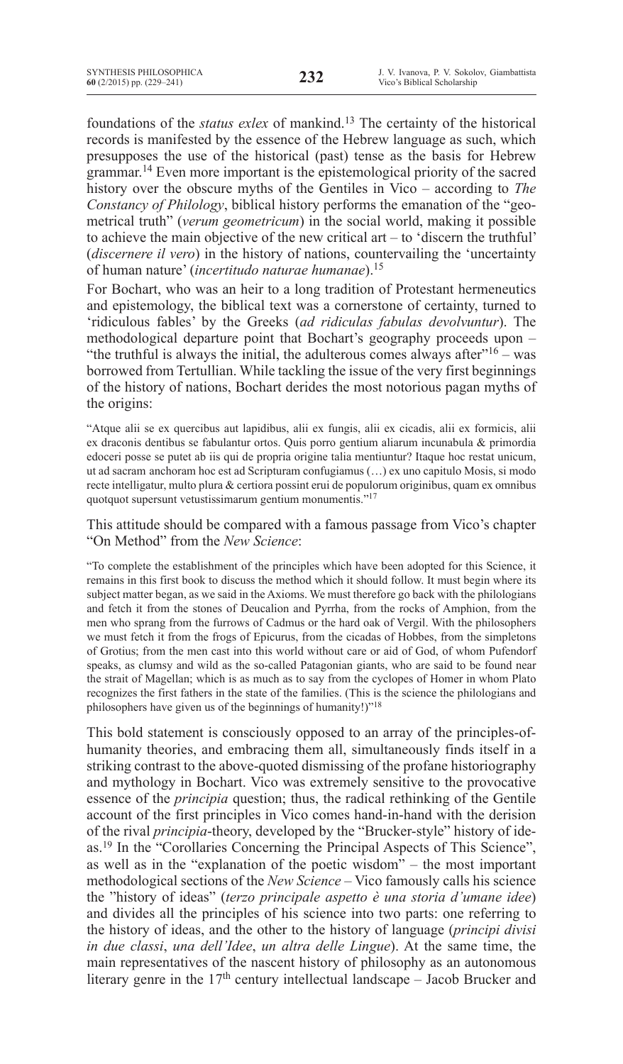foundations of the *status exlex* of mankind.13 The certainty of the historical records is manifested by the essence of the Hebrew language as such, which presupposes the use of the historical (past) tense as the basis for Hebrew grammar.<sup>14</sup> Even more important is the epistemological priority of the sacred history over the obscure myths of the Gentiles in Vico – according to *The Constancy of Philology*, biblical history performs the emanation of the "geometrical truth" (*verum geometricum*) in the social world, making it possible to achieve the main objective of the new critical art – to 'discern the truthful' (*discernere il vero*) in the history of nations, countervailing the 'uncertainty of human nature' (*incertitudo naturae humanae*).<sup>15</sup>

For Bochart, who was an heir to a long tradition of Protestant hermeneutics and epistemology, the biblical text was a cornerstone of certainty, turned to 'ridiculous fables' by the Greeks (*ad ridiculas fabulas devolvuntur*). The methodological departure point that Bochart's geography proceeds upon – "the truthful is always the initial, the adulterous comes always after  $16 -$  was borrowed from Tertullian. While tackling the issue of the very first beginnings of the history of nations, Bochart derides the most notorious pagan myths of the origins:

"Atque alii se ex quercibus aut lapidibus, alii ex fungis, alii ex cicadis, alii ex formicis, alii ex draconis dentibus se fabulantur ortos. Quis porro gentium aliarum incunabula & primordia edoceri posse se putet ab iis qui de propria origine talia mentiuntur? Itaque hoc restat unicum, ut ad sacram anchoram hoc est ad Scripturam confugiamus (…) ex uno capitulo Mosis, si modo recte intelligatur, multo plura & certiora possint erui de populorum originibus, quam ex omnibus quotquot supersunt vetustissimarum gentium monumentis."<sup>17</sup>

# This attitude should be compared with a famous passage from Vico's chapter "On Method" from the *New Science*:

"To complete the establishment of the principles which have been adopted for this Science, it remains in this first book to discuss the method which it should follow. It must begin where its subject matter began, as we said in the Axioms. We must therefore go back with the philologians and fetch it from the stones of Deucalion and Pyrrha, from the rocks of Amphion, from the men who sprang from the furrows of Cadmus or the hard oak of Vergil. With the philosophers we must fetch it from the frogs of Epicurus, from the cicadas of Hobbes, from the simpletons of Grotius; from the men cast into this world without care or aid of God, of whom Pufendorf speaks, as clumsy and wild as the so-called Patagonian giants, who are said to be found near the strait of Magellan; which is as much as to say from the cyclopes of Homer in whom Plato recognizes the first fathers in the state of the families. (This is the science the philologians and philosophers have given us of the beginnings of humanity!)"<sup>18</sup>

This bold statement is consciously opposed to an array of the principles-ofhumanity theories, and embracing them all, simultaneously finds itself in a striking contrast to the above-quoted dismissing of the profane historiography and mythology in Bochart. Vico was extremely sensitive to the provocative essence of the *principia* question; thus, the radical rethinking of the Gentile account of the first principles in Vico comes hand-in-hand with the derision of the rival *principia*-theory, developed by the "Brucker-style" history of ideas.19 In the "Corollaries Concerning the Principal Aspects of This Science", as well as in the "explanation of the poetic wisdom" – the most important methodological sections of the *New Science* – Vico famously calls his science the "history of ideas" (*terzo principale aspetto è una storia d'umane idee*) and divides all the principles of his science into two parts: one referring to the history of ideas, and the other to the history of language (*principi divisi in due classi*, *una dell'Idee*, *un altra delle Lingue*). At the same time, the main representatives of the nascent history of philosophy as an autonomous literary genre in the  $17<sup>th</sup>$  century intellectual landscape – Jacob Brucker and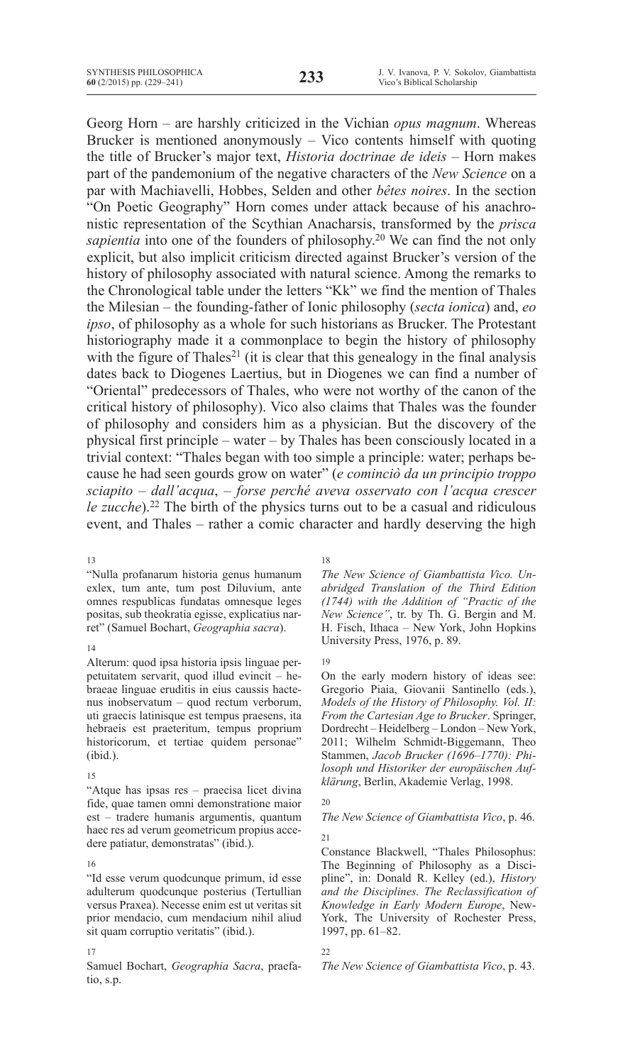Georg Horn – are harshly criticized in the Vichian *opus magnum*. Whereas Brucker is mentioned anonymously – Vico contents himself with quoting the title of Brucker's major text, *Historia doctrinae de ideis* – Horn makes part of the pandemonium of the negative characters of the *New Science* on a par with Machiavelli, Hobbes, Selden and other *bêtes noires*. In the section "On Poetic Geography" Horn comes under attack because of his anachronistic representation of the Scythian Anacharsis, transformed by the *prisca sapientia* into one of the founders of philosophy.20 We can find the not only explicit, but also implicit criticism directed against Brucker's version of the history of philosophy associated with natural science. Among the remarks to the Chronological table under the letters "Kk" we find the mention of Thales the Milesian – the founding-father of Ionic philosophy (*secta ionica*) and, *eo ipso*, of philosophy as a whole for such historians as Brucker. The Protestant historiography made it a commonplace to begin the history of philosophy with the figure of Thales<sup>21</sup> (it is clear that this genealogy in the final analysis dates back to Diogenes Laertius, but in Diogenes we can find a number of "Oriental" predecessors of Thales, who were not worthy of the canon of the critical history of philosophy). Vico also claims that Thales was the founder of philosophy and considers him as a physician. But the discovery of the physical first principle – water – by Thales has been consciously located in a trivial context: "Thales began with too simple a principle: water; perhaps because he had seen gourds grow on water" (*e cominciò da un principio troppo sciapito – dall'acqua*, *– forse perché aveva osservato con l'acqua crescer le zucche*).<sup>22</sup> The birth of the physics turns out to be a casual and ridiculous event, and Thales – rather a comic character and hardly deserving the high

#### 13

"Nulla profanarum historia genus humanum exlex, tum ante, tum post Diluvium, ante omnes respublicas fundatas omnesque leges positas, sub theokratia egisse, explicatius narret" (Samuel Bochart, *Geographia sacra*).

#### 14

Alterum: quod ipsa historia ipsis linguae perpetuitatem servarit, quod illud evincit – hebraeae linguae eruditis in eius caussis hactenus inobservatum – quod rectum verborum, uti graecis latinisque est tempus praesens, ita hebraeis est praeteritum, tempus proprium historicorum, et tertiae quidem personae" (ibid.).

## 15

"Atque has ipsas res – praecisa licet divina fide, quae tamen omni demonstratione maior est – tradere humanis argumentis, quantum haec res ad verum geometricum propius accedere patiatur, demonstratas" (ibid.).

## 16

"Id esse verum quodcunque primum, id esse adulterum quodcunque posterius (Tertullian versus Praxea). Necesse enim est ut veritas sit prior mendacio, cum mendacium nihil aliud sit quam corruptio veritatis" (ibid.).

#### 17

Samuel Bochart, *Geographia Sacra*, praefatio, s.p.

## 18

*The New Science of Giambattista Vico. Unabridged Translation of the Third Edition (1744) with the Addition of "Practic of the New Science"*, tr. by Th. G. Bergin and M. H. Fisch, Ithaca – New York, John Hopkins University Press, 1976, p. 89.

# 19

On the early modern history of ideas see: Gregorio Piaia, Giovanii Santinello (eds.), *Models of the History of Philosophy. Vol. II: From the Cartesian Age to Brucker*. Springer, Dordrecht – Heidelberg – London – New York, 2011; Wilhelm Schmidt-Biggemann, Theo Stammen, *Jacob Brucker (1696–1770): Philosoph und Historiker der europäischen Aufklärung*, Berlin, Akademie Verlag, 1998.

## 20

# *The New Science of Giambattista Vico*, p. 46. 21

Constance Blackwell, "Thales Philosophus: The Beginning of Philosophy as a Discipline", in: Donald R. Kelley (ed.), *History and the Disciplines. The Reclassification of Knowledge in Early Modern Europe*, New-York, The University of Rochester Press, 1997, pp. 61–82.

## 22

*The New Science of Giambattista Vico*, p. 43.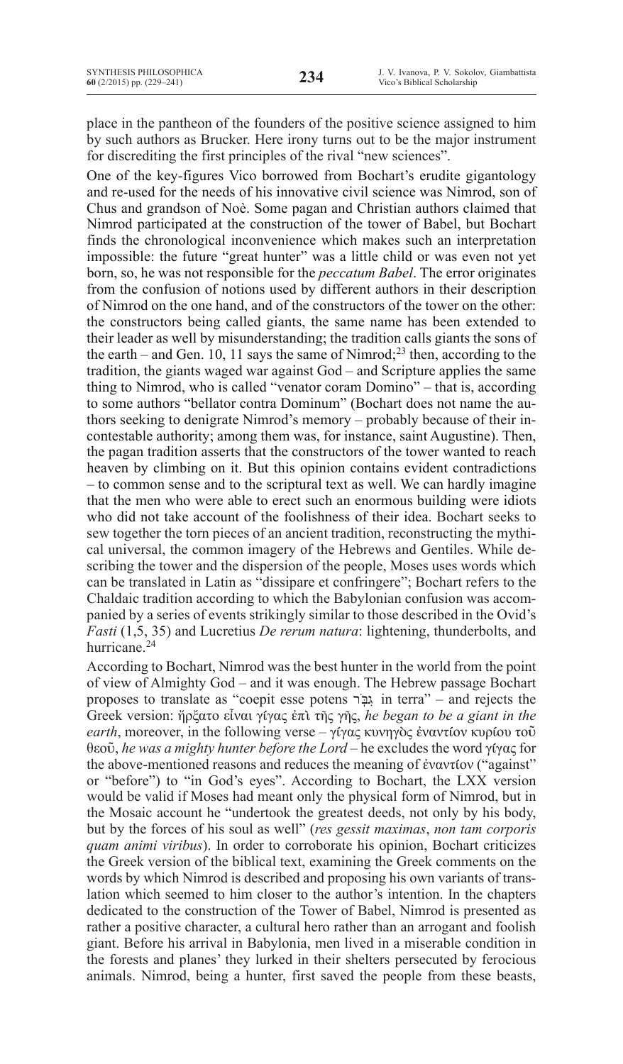place in the pantheon of the founders of the positive science assigned to him by such authors as Brucker. Here irony turns out to be the major instrument for discrediting the first principles of the rival "new sciences".

One of the key-figures Vico borrowed from Bochart's erudite gigantology and re-used for the needs of his innovative civil science was Nimrod, son of Chus and grandson of Noè. Some pagan and Christian authors claimed that Nimrod participated at the construction of the tower of Babel, but Bochart finds the chronological inconvenience which makes such an interpretation impossible: the future "great hunter" was a little child or was even not yet born, so, he was not responsible for the *peccatum Babel*. The error originates from the confusion of notions used by different authors in their description of Nimrod on the one hand, and of the constructors of the tower on the other: the constructors being called giants, the same name has been extended to their leader as well by misunderstanding; the tradition calls giants the sons of the earth – and Gen. 10, 11 says the same of Nimrod;<sup>23</sup> then, according to the tradition, the giants waged war against God – and Scripture applies the same thing to Nimrod, who is called "venator coram Domino" – that is, according to some authors "bellator contra Dominum" (Bochart does not name the authors seeking to denigrate Nimrod's memory – probably because of their incontestable authority; among them was, for instance, saint Augustine). Then, the pagan tradition asserts that the constructors of the tower wanted to reach heaven by climbing on it. But this opinion contains evident contradictions – to common sense and to the scriptural text as well. We can hardly imagine that the men who were able to erect such an enormous building were idiots who did not take account of the foolishness of their idea. Bochart seeks to sew together the torn pieces of an ancient tradition, reconstructing the mythical universal, the common imagery of the Hebrews and Gentiles. While describing the tower and the dispersion of the people, Moses uses words which can be translated in Latin as "dissipare et confringere"; Bochart refers to the Chaldaic tradition according to which the Babylonian confusion was accompanied by a series of events strikingly similar to those described in the Ovid's *Fasti* (1,5, 35) and Lucretius *De rerum natura*: lightening, thunderbolts, and hurricane.<sup>24</sup>

According to Bochart, Nimrod was the best hunter in the world from the point of view of Almighty God – and it was enough. The Hebrew passage Bochart proposes to translate as "coepit esse potens רֹֽגבִּ in terra" – and rejects the Greek version: ἤρξατο εἶναι γίγας ἐπὶ τῆς γῆς, *he began to be a giant in the earth*, moreover, in the following verse – γίγας κυνηγὸς ἐναντίον κυρίου τοῦ θεοῦ, *he was a mighty hunter before the Lord* – he excludes the word γίγας for the above-mentioned reasons and reduces the meaning of ἐναντίον ("against" or "before") to "in God's eyes". According to Bochart, the LXX version would be valid if Moses had meant only the physical form of Nimrod, but in the Mosaic account he "undertook the greatest deeds, not only by his body, but by the forces of his soul as well" (*res gessit maximas*, *non tam corporis quam animi viribus*). In order to corroborate his opinion, Bochart criticizes the Greek version of the biblical text, examining the Greek comments on the words by which Nimrod is described and proposing his own variants of translation which seemed to him closer to the author's intention. In the chapters dedicated to the construction of the Tower of Babel, Nimrod is presented as rather a positive character, a cultural hero rather than an arrogant and foolish giant. Before his arrival in Babylonia, men lived in a miserable condition in the forests and planes' they lurked in their shelters persecuted by ferocious animals. Nimrod, being a hunter, first saved the people from these beasts,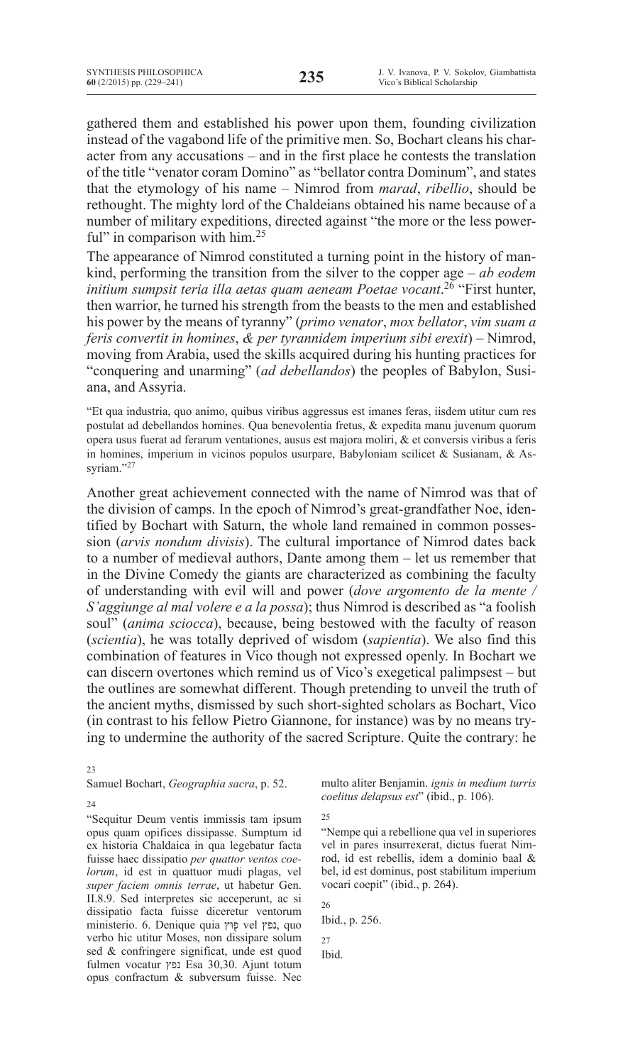gathered them and established his power upon them, founding civilization instead of the vagabond life of the primitive men. So, Bochart cleans his character from any accusations – and in the first place he contests the translation of the title "venator coram Domino" as "bellator contra Dominum", and states that the etymology of his name – Nimrod from *marad*, *ribellio*, should be rethought. The mighty lord of the Chaldeians obtained his name because of a number of military expeditions, directed against "the more or the less powerful" in comparison with him.<sup>25</sup>

The appearance of Nimrod constituted a turning point in the history of mankind, performing the transition from the silver to the copper age – *ab eodem initium sumpsit teria illa aetas quam aeneam Poetae vocant*. <sup>26</sup> "First hunter, then warrior, he turned his strength from the beasts to the men and established his power by the means of tyranny" (*primo venator*, *mox bellator*, *vim suam a feris convertit in homines*, *& per tyrannidem imperium sibi erexit*) – Nimrod, moving from Arabia, used the skills acquired during his hunting practices for "conquering and unarming" (*ad debellandos*) the peoples of Babylon, Susiana, and Assyria.

"Et qua industria, quo animo, quibus viribus aggressus est imanes feras, iisdem utitur cum res postulat ad debellandos homines. Qua benevolentia fretus, & expedita manu juvenum quorum opera usus fuerat ad ferarum ventationes, ausus est majora moliri, & et conversis viribus a feris in homines, imperium in vicinos populos usurpare, Babyloniam scilicet & Susianam,  $\&$  Assyriam."27

Another great achievement connected with the name of Nimrod was that of the division of camps. In the epoch of Nimrod's great-grandfather Noe, identified by Bochart with Saturn, the whole land remained in common possession (*arvis nondum divisis*). The cultural importance of Nimrod dates back to a number of medieval authors, Dante among them – let us remember that in the Divine Comedy the giants are characterized as combining the faculty of understanding with evil will and power (*dove argomento de la mente / S'aggiunge al mal volere e a la possa*); thus Nimrod is described as "a foolish soul" (*anima sciocca*), because, being bestowed with the faculty of reason (*scientia*), he was totally deprived of wisdom (*sapientia*). We also find this combination of features in Vico though not expressed openly. In Bochart we can discern overtones which remind us of Vico's exegetical palimpsest – but the outlines are somewhat different. Though pretending to unveil the truth of the ancient myths, dismissed by such short-sighted scholars as Bochart, Vico (in contrast to his fellow Pietro Giannone, for instance) was by no means trying to undermine the authority of the sacred Scripture. Quite the contrary: he

#### 23

Samuel Bochart, *Geographia sacra*, p. 52.

multo aliter Benjamin. *ignis in medium turris coelitus delapsus est*" (ibid., p. 106).

24

"Sequitur Deum ventis immissis tam ipsum opus quam opifices dissipasse. Sumptum id ex historia Chaldaica in qua legebatur facta fuisse haec dissipatio *per quattor ventos coelorum*, id est in quattuor mudi plagas, vel *super faciem omnis terrae*, ut habetur Gen. II.8.9. Sed interpretes sic acceperunt, ac si dissipatio facta fuisse diceretur ventorum ministerio. 6. Denique quia פוּץ֖ vel נפץ, quo verbo hic utitur Moses, non dissipare solum sed & confringere significat, unde est quod fulmen vocatur נפץ Esa 30,30. Ajunt totum opus confractum & subversum fuisse. Nec 25

"Nempe qui a rebellione qua vel in superiores vel in pares insurrexerat, dictus fuerat Nimrod, id est rebellis, idem a dominio baal & bel, id est dominus, post stabilitum imperium vocari coepit" (ibid., p. 264).

26

Ibid., p. 256.

27 Ibid.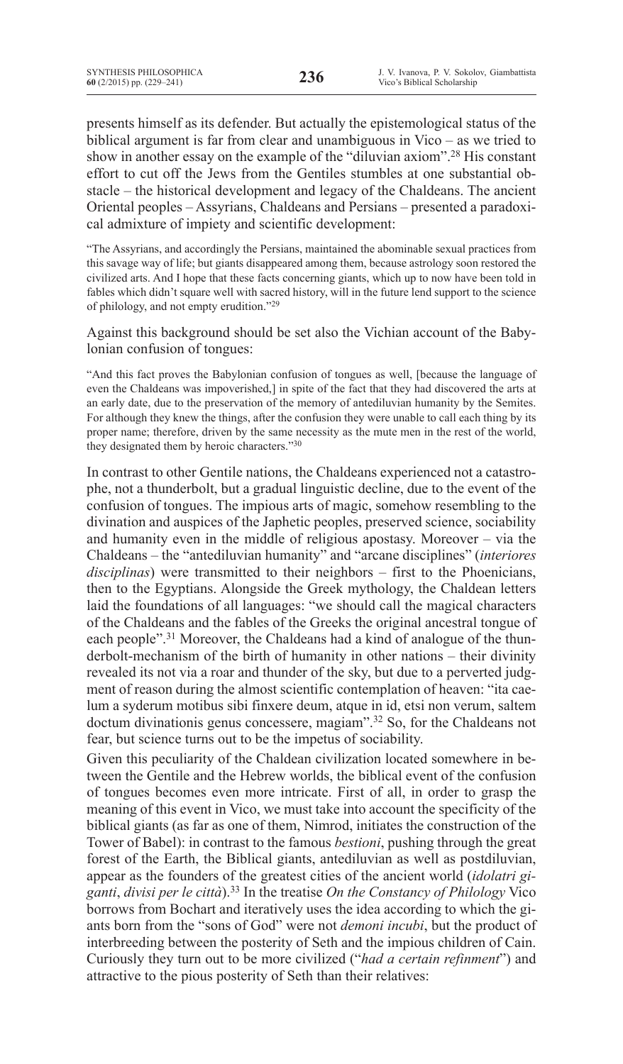presents himself as its defender. But actually the epistemological status of the biblical argument is far from clear and unambiguous in Vico – as we tried to show in another essay on the example of the "diluvian axiom".28 His constant effort to cut off the Jews from the Gentiles stumbles at one substantial obstacle – the historical development and legacy of the Chaldeans. The ancient Oriental peoples – Assyrians, Chaldeans and Persians – presented a paradoxical admixture of impiety and scientific development:

"The Assyrians, and accordingly the Persians, maintained the abominable sexual practices from this savage way of life; but giants disappeared among them, because astrology soon restored the civilized arts. And I hope that these facts concerning giants, which up to now have been told in fables which didn't square well with sacred history, will in the future lend support to the science of philology, and not empty erudition."29

Against this background should be set also the Vichian account of the Babylonian confusion of tongues:

"And this fact proves the Babylonian confusion of tongues as well, [because the language of even the Chaldeans was impoverished,] in spite of the fact that they had discovered the arts at an early date, due to the preservation of the memory of antediluvian humanity by the Semites. For although they knew the things, after the confusion they were unable to call each thing by its proper name; therefore, driven by the same necessity as the mute men in the rest of the world, they designated them by heroic characters."30

In contrast to other Gentile nations, the Chaldeans experienced not a catastrophe, not a thunderbolt, but a gradual linguistic decline, due to the event of the confusion of tongues. The impious arts of magic, somehow resembling to the divination and auspices of the Japhetic peoples, preserved science, sociability and humanity even in the middle of religious apostasy. Moreover – via the Chaldeans – the "antediluvian humanity" and "arcane disciplines" (*interiores disciplinas*) were transmitted to their neighbors – first to the Phoenicians, then to the Egyptians. Alongside the Greek mythology, the Chaldean letters laid the foundations of all languages: "we should call the magical characters of the Chaldeans and the fables of the Greeks the original ancestral tongue of each people".<sup>31</sup> Moreover, the Chaldeans had a kind of analogue of the thunderbolt-mechanism of the birth of humanity in other nations – their divinity revealed its not via a roar and thunder of the sky, but due to a perverted judgment of reason during the almost scientific contemplation of heaven: "ita caelum a syderum motibus sibi finxere deum, atque in id, etsi non verum, saltem doctum divinationis genus concessere, magiam".<sup>32</sup> So, for the Chaldeans not fear, but science turns out to be the impetus of sociability.

Given this peculiarity of the Chaldean civilization located somewhere in between the Gentile and the Hebrew worlds, the biblical event of the confusion of tongues becomes even more intricate. First of all, in order to grasp the meaning of this event in Vico, we must take into account the specificity of the biblical giants (as far as one of them, Nimrod, initiates the construction of the Tower of Babel): in contrast to the famous *bestioni*, pushing through the great forest of the Earth, the Biblical giants, antediluvian as well as postdiluvian, appear as the founders of the greatest cities of the ancient world (*idolatri giganti*, *divisi per le città*).<sup>33</sup> In the treatise *On the Constancy of Philology* Vico borrows from Bochart and iteratively uses the idea according to which the giants born from the "sons of God" were not *demoni incubi*, but the product of interbreeding between the posterity of Seth and the impious children of Cain. Curiously they turn out to be more civilized ("*had a certain refinment*") and attractive to the pious posterity of Seth than their relatives: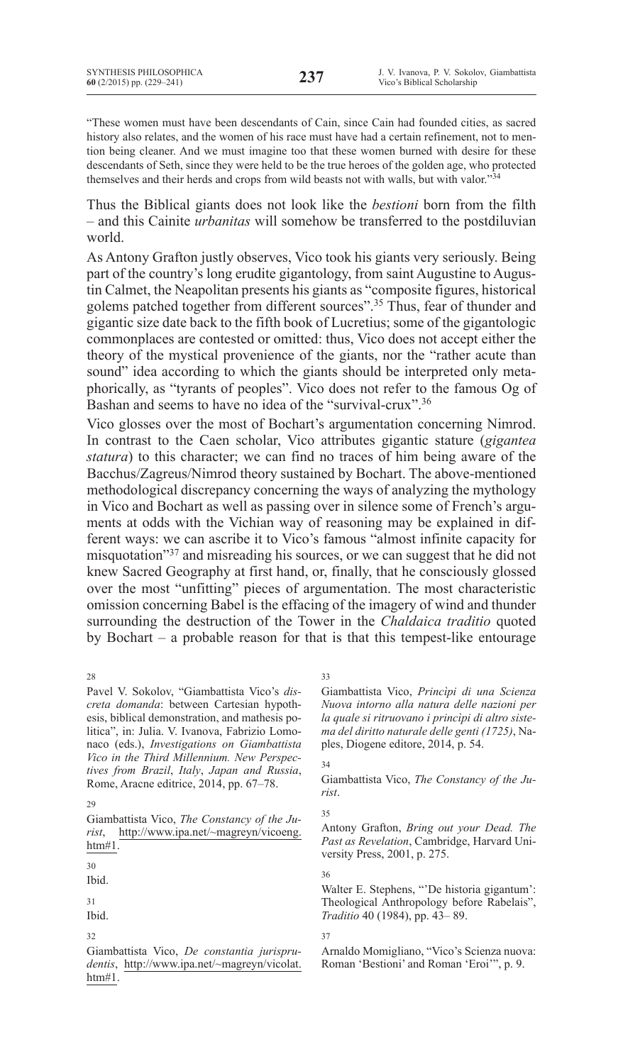"These women must have been descendants of Cain, since Cain had founded cities, as sacred history also relates, and the women of his race must have had a certain refinement, not to mention being cleaner. And we must imagine too that these women burned with desire for these descendants of Seth, since they were held to be the true heroes of the golden age, who protected themselves and their herds and crops from wild beasts not with walls, but with valor."<sup>34</sup>

Thus the Biblical giants does not look like the *bestioni* born from the filth – and this Cainite *urbanitas* will somehow be transferred to the postdiluvian world.

As Antony Grafton justly observes, Vico took his giants very seriously. Being part of the country's long erudite gigantology, from saint Augustine to Augustin Calmet, the Neapolitan presents his giants as "composite figures, historical golems patched together from different sources".<sup>35</sup> Thus, fear of thunder and gigantic size date back to the fifth book of Lucretius; some of the gigantologic commonplaces are contested or omitted: thus, Vico does not accept either the theory of the mystical provenience of the giants, nor the "rather acute than sound" idea according to which the giants should be interpreted only metaphorically, as "tyrants of peoples". Vico does not refer to the famous Og of Bashan and seems to have no idea of the "survival-crux".<sup>36</sup>

Vico glosses over the most of Bochart's argumentation concerning Nimrod. In contrast to the Caen scholar, Vico attributes gigantic stature (*gigantea statura*) to this character; we can find no traces of him being aware of the Bacchus/Zagreus/Nimrod theory sustained by Bochart. The above-mentioned methodological discrepancy concerning the ways of analyzing the mythology in Vico and Bochart as well as passing over in silence some of French's arguments at odds with the Vichian way of reasoning may be explained in different ways: we can ascribe it to Vico's famous "almost infinite capacity for misquotation"37 and misreading his sources, or we can suggest that he did not knew Sacred Geography at first hand, or, finally, that he consciously glossed over the most "unfitting" pieces of argumentation. The most characteristic omission concerning Babel is the effacing of the imagery of wind and thunder surrounding the destruction of the Tower in the *Chaldaica traditio* quoted by Bochart – a probable reason for that is that this tempest-like entourage

Pavel V. Sokolov, "Giambattista Vico's *discreta domanda*: between Cartesian hypothesis, biblical demonstration, and mathesis politica", in: Julia. V. Ivanova, Fabrizio Lomonaco (eds.), *Investigations on Giambattista Vico in the Third Millennium. New Perspectives from Brazil*, *Italy*, *Japan and Russia*, Rome, Aracne editrice, 2014, pp. 67–78.

28

Giambattista Vico, *The Constancy of the Jurist*, http://www.ipa.net/~magreyn/vicoeng. htm#1.

30

Ibid.

31

Ibid.

32

Giambattista Vico, *De constantia jurisprudentis*, http://www.ipa.net/~magreyn/vicolat. htm#1.

33

Giambattista Vico, *Princìpi di una Scienza Nuova intorno alla natura delle nazioni per la quale si ritruovano i princìpi di altro sistema del diritto naturale delle genti (1725)*, Naples, Diogene editore, 2014, p. 54.

## 34

Giambattista Vico, *The Constancy of the Jurist*.

## 35

Antony Grafton, *Bring out your Dead. The Past as Revelation*, Cambridge, Harvard University Press, 2001, p. 275.

36

Walter E. Stephens, "'De historia gigantum': Theological Anthropology before Rabelais", *Traditio* 40 (1984), pp. 43– 89.

37

Arnaldo Momigliano, "Vico's Scienza nuova: Roman 'Bestioni' and Roman 'Eroi'", p. 9.

<sup>29</sup>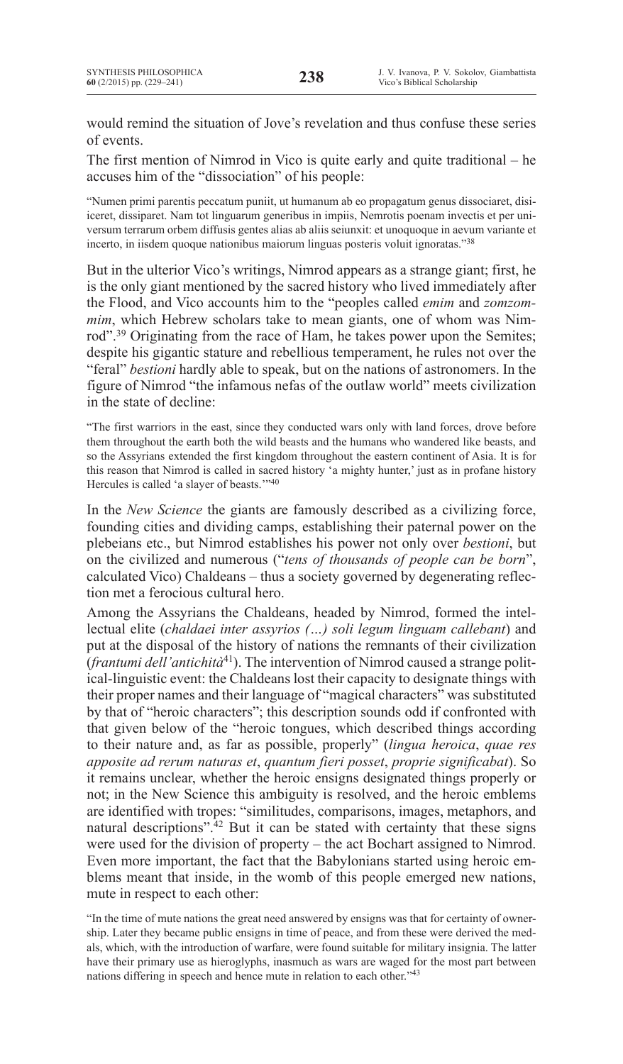would remind the situation of Jove's revelation and thus confuse these series of events.

The first mention of Nimrod in Vico is quite early and quite traditional – he accuses him of the "dissociation" of his people:

"Numen primi parentis peccatum puniit, ut humanum ab eo propagatum genus dissociaret, disiiceret, dissiparet. Nam tot linguarum generibus in impiis, Nemrotis poenam invectis et per universum terrarum orbem diffusis gentes alias ab aliis seiunxit: et unoquoque in aevum variante et incerto, in iisdem quoque nationibus maiorum linguas posteris voluit ignoratas."38

But in the ulterior Vico's writings, Nimrod appears as a strange giant; first, he is the only giant mentioned by the sacred history who lived immediately after the Flood, and Vico accounts him to the "peoples called *emim* and *zomzommim*, which Hebrew scholars take to mean giants, one of whom was Nimrod".<sup>39</sup> Originating from the race of Ham, he takes power upon the Semites; despite his gigantic stature and rebellious temperament, he rules not over the "feral" *bestioni* hardly able to speak, but on the nations of astronomers. In the figure of Nimrod "the infamous nefas of the outlaw world" meets civilization in the state of decline:

"The first warriors in the east, since they conducted wars only with land forces, drove before them throughout the earth both the wild beasts and the humans who wandered like beasts, and so the Assyrians extended the first kingdom throughout the eastern continent of Asia. It is for this reason that Nimrod is called in sacred history 'a mighty hunter,' just as in profane history Hercules is called 'a slayer of beasts.'"40

In the *New Science* the giants are famously described as a civilizing force, founding cities and dividing camps, establishing their paternal power on the plebeians etc., but Nimrod establishes his power not only over *bestioni*, but on the civilized and numerous ("*tens of thousands of people can be born*", calculated Vico) Chaldeans – thus a society governed by degenerating reflection met a ferocious cultural hero.

Among the Assyrians the Chaldeans, headed by Nimrod, formed the intellectual elite (*chaldaei inter assyrios (…) soli legum linguam callebant*) and put at the disposal of the history of nations the remnants of their civilization (*frantumi dell'antichità*41). The intervention of Nimrod caused a strange political-linguistic event: the Chaldeans lost their capacity to designate things with their proper names and their language of "magical characters" was substituted by that of "heroic characters"; this description sounds odd if confronted with that given below of the "heroic tongues, which described things according to their nature and, as far as possible, properly" (*lingua heroica*, *quae res apposite ad rerum naturas et*, *quantum fieri posset*, *proprie significabat*). So it remains unclear, whether the heroic ensigns designated things properly or not; in the New Science this ambiguity is resolved, and the heroic emblems are identified with tropes: "similitudes, comparisons, images, metaphors, and natural descriptions". $42$  But it can be stated with certainty that these signs were used for the division of property – the act Bochart assigned to Nimrod. Even more important, the fact that the Babylonians started using heroic emblems meant that inside, in the womb of this people emerged new nations, mute in respect to each other:

"In the time of mute nations the great need answered by ensigns was that for certainty of ownership. Later they became public ensigns in time of peace, and from these were derived the medals, which, with the introduction of warfare, were found suitable for military insignia. The latter have their primary use as hieroglyphs, inasmuch as wars are waged for the most part between nations differing in speech and hence mute in relation to each other."<sup>43</sup>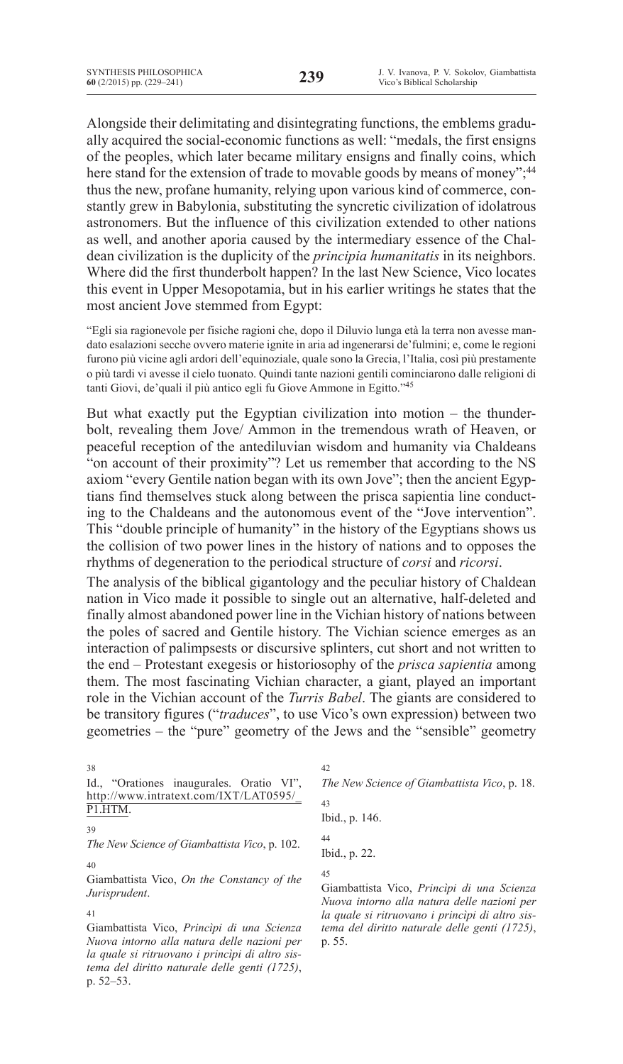Alongside their delimitating and disintegrating functions, the emblems gradually acquired the social-economic functions as well: "medals, the first ensigns of the peoples, which later became military ensigns and finally coins, which here stand for the extension of trade to movable goods by means of money";<sup>44</sup> thus the new, profane humanity, relying upon various kind of commerce, constantly grew in Babylonia, substituting the syncretic civilization of idolatrous astronomers. But the influence of this civilization extended to other nations as well, and another aporia caused by the intermediary essence of the Chaldean civilization is the duplicity of the *principia humanitatis* in its neighbors. Where did the first thunderbolt happen? In the last New Science, Vico locates this event in Upper Mesopotamia, but in his earlier writings he states that the most ancient Jove stemmed from Egypt:

"Egli sia ragionevole per fisiche ragioni che, dopo il Diluvio lunga età la terra non avesse mandato esalazioni secche ovvero materie ignite in aria ad ingenerarsi de'fulmini; e, come le regioni furono più vicine agli ardori dell'equinoziale, quale sono la Grecia, l'Italia, così più prestamente o più tardi vi avesse il cielo tuonato. Quindi tante nazioni gentili cominciarono dalle religioni di tanti Giovi, de'quali il più antico egli fu Giove Ammone in Egitto."45

But what exactly put the Egyptian civilization into motion – the thunderbolt, revealing them Jove/ Ammon in the tremendous wrath of Heaven, or peaceful reception of the antediluvian wisdom and humanity via Chaldeans "on account of their proximity"? Let us remember that according to the NS axiom "every Gentile nation began with its own Jove"; then the ancient Egyptians find themselves stuck along between the prisca sapientia line conducting to the Chaldeans and the autonomous event of the "Jove intervention". This "double principle of humanity" in the history of the Egyptians shows us the collision of two power lines in the history of nations and to opposes the rhythms of degeneration to the periodical structure of *corsi* and *ricorsi*.

The analysis of the biblical gigantology and the peculiar history of Chaldean nation in Vico made it possible to single out an alternative, half-deleted and finally almost abandoned power line in the Vichian history of nations between the poles of sacred and Gentile history. The Vichian science emerges as an interaction of palimpsests or discursive splinters, cut short and not written to the end – Protestant exegesis or historiosophy of the *prisca sapientia* among them. The most fascinating Vichian character, a giant, played an important role in the Vichian account of the *Turris Babel*. The giants are considered to be transitory figures ("*traduces*", to use Vico's own expression) between two geometries – the "pure" geometry of the Jews and the "sensible" geometry

| 38                                                | 42                                              |
|---------------------------------------------------|-------------------------------------------------|
| "Orationes inaugurales. Oratio VI",<br>Id.        | The New Science of Giambattista Vico, p. 18.    |
| http://www.intratext.com/IXT/LAT0595/             | 43                                              |
| P1.HTM.                                           | Ibid., p. 146.                                  |
| 39                                                |                                                 |
| The New Science of Giambattista Vico, p. 102.     | 44                                              |
|                                                   | Ibid., p. 22.                                   |
| 40                                                |                                                 |
| Giambattista Vico, On the Constancy of the        | 45                                              |
|                                                   | Giambattista Vico, Principi di una Scienza      |
| Jurisprudent.                                     |                                                 |
|                                                   | Nuova intorno alla natura delle nazioni per     |
| 41                                                | la quale si ritruovano i principi di altro sis- |
| Giambattista Vico, <i>Principi di una Scienza</i> | toma del divitto naturale delle genti (1725)    |

Giambattista Vico, *Princìpi di una Scienza Nuova intorno alla natura delle nazioni per la quale si ritruovano i princìpi di altro sistema del diritto naturale delle genti (1725)*, p. 52–53.

*tema del diritto naturale delle genti (1725)*, p. 55.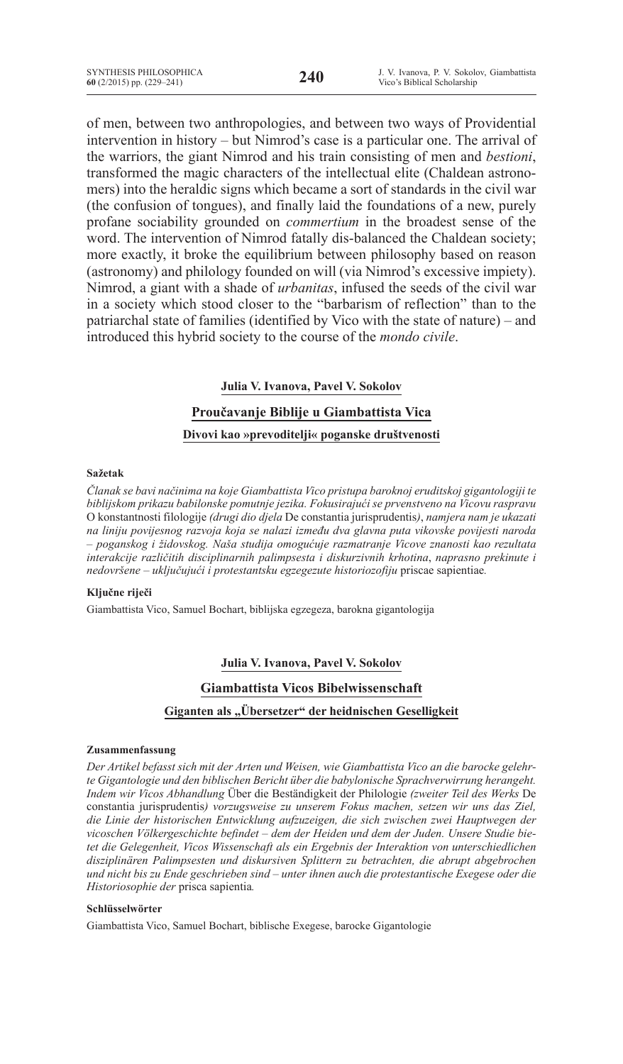of men, between two anthropologies, and between two ways of Providential intervention in history – but Nimrod's case is a particular one. The arrival of the warriors, the giant Nimrod and his train consisting of men and *bestioni*, transformed the magic characters of the intellectual elite (Chaldean astronomers) into the heraldic signs which became a sort of standards in the civil war (the confusion of tongues), and finally laid the foundations of a new, purely profane sociability grounded on *commertium* in the broadest sense of the word. The intervention of Nimrod fatally dis-balanced the Chaldean society; more exactly, it broke the equilibrium between philosophy based on reason (astronomy) and philology founded on will (via Nimrod's excessive impiety). Nimrod, a giant with a shade of *urbanitas*, infused the seeds of the civil war in a society which stood closer to the "barbarism of reflection" than to the patriarchal state of families (identified by Vico with the state of nature) – and introduced this hybrid society to the course of the *mondo civile*.

# **Julia V. Ivanova, Pavel V. Sokolov**

# **Proučavanje Biblije u Giambattista Vica Divovi kao »prevoditelji« poganske društvenosti**

## **Sažetak**

*Članak se bavi načinima na koje Giambattista Vico pristupa baroknoj eruditskoj gigantologiji te biblijskom prikazu babilonske pomutnje jezika. Fokusirajući se prvenstveno na Vicovu raspravu*  O konstantnosti filologije *(drugi dio djela* De constantia jurisprudentis*)*, *namjera nam je ukazati na liniju povijesnog razvoja koja se nalazi između dva glavna puta vikovske povijesti naroda – poganskog i židovskog. Naša studija omogućuje razmatranje Vicove znanosti kao rezultata interakcije različitih disciplinarnih palimpsesta i diskurzivnih krhotina*, *naprasno prekinute i nedovršene – uključujući i protestantsku egzegezute historiozofiju* priscae sapientiae*.*

# **Ključne riječi**

Giambattista Vico, Samuel Bochart, biblijska egzegeza, barokna gigantologija

# **Julia V. Ivanova, Pavel V. Sokolov**

# **Giambattista Vicos Bibelwissenschaft**

# Giganten als "Übersetzer" der heidnischen Geselligkeit

## **Zusammenfassung**

*Der Artikel befasst sich mit der Arten und Weisen, wie Giambattista Vico an die barocke gelehrte Gigantologie und den biblischen Bericht über die babylonische Sprachverwirrung herangeht. Indem wir Vicos Abhandlung* Über die Beständigkeit der Philologie *(zweiter Teil des Werks* De constantia jurisprudentis*) vorzugsweise zu unserem Fokus machen, setzen wir uns das Ziel, die Linie der historischen Entwicklung aufzuzeigen, die sich zwischen zwei Hauptwegen der vicoschen Völkergeschichte befindet – dem der Heiden und dem der Juden. Unsere Studie bietet die Gelegenheit, Vicos Wissenschaft als ein Ergebnis der Interaktion von unterschiedlichen disziplinären Palimpsesten und diskursiven Splittern zu betrachten, die abrupt abgebrochen und nicht bis zu Ende geschrieben sind – unter ihnen auch die protestantische Exegese oder die Historiosophie der* prisca sapientia*.*

# **Schlüsselwörter**

Giambattista Vico, Samuel Bochart, biblische Exegese, barocke Gigantologie